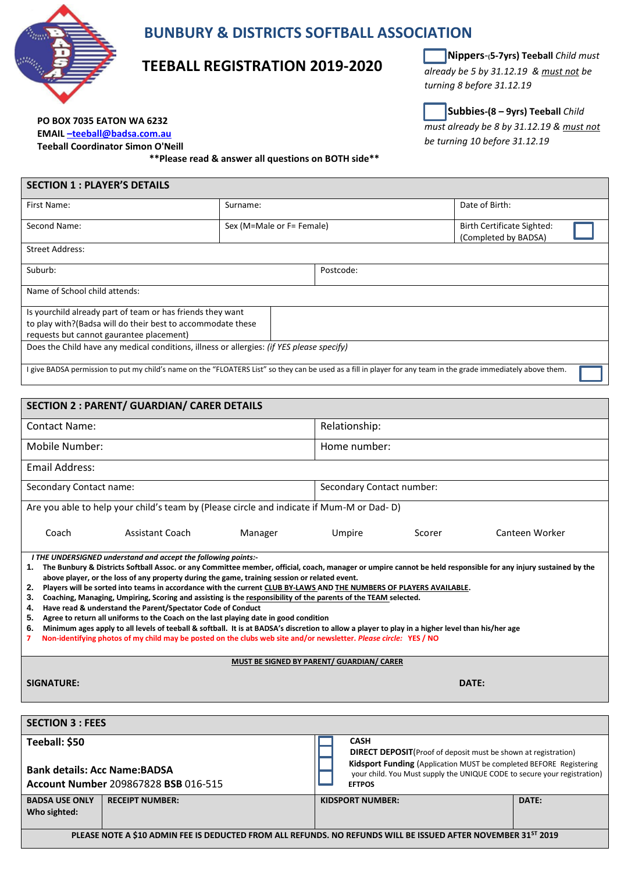

## **BUNBURY & DISTRICTS SOFTBALL ASSOCIATION**

### **TEEBALL REGISTRATION 2019-2020**

 **Nippers**-**(5-7yrs) Teeball** *Child must already be 5 by 31.12.19 & must not be turning 8 before 31.12.19*

**Subbies-(8 – 9yrs) Teeball** *Child must already be 8 by 31.12.19 & must not*

*be turning 10 before 31.12.19*

**PO BOX 7035 EATON WA 6232 EMAIL –[teeball@badsa.com.au](mailto:–teeball@badsa.com.au)**

**Teeball Coordinator Simon O'Neill**

**\*\*Please read & answer all questions on BOTH side\*\***

| <b>SECTION 1 : PLAYER'S DETAILS</b>                                                                                                                             |          |                           |           |  |                                                           |  |  |  |
|-----------------------------------------------------------------------------------------------------------------------------------------------------------------|----------|---------------------------|-----------|--|-----------------------------------------------------------|--|--|--|
| First Name:                                                                                                                                                     | Surname: |                           |           |  | Date of Birth:                                            |  |  |  |
| Second Name:                                                                                                                                                    |          | Sex (M=Male or F= Female) |           |  | <b>Birth Certificate Sighted:</b><br>(Completed by BADSA) |  |  |  |
| <b>Street Address:</b>                                                                                                                                          |          |                           |           |  |                                                           |  |  |  |
| Suburb:                                                                                                                                                         |          |                           | Postcode: |  |                                                           |  |  |  |
| Name of School child attends:                                                                                                                                   |          |                           |           |  |                                                           |  |  |  |
| Is yourchild already part of team or has friends they want                                                                                                      |          |                           |           |  |                                                           |  |  |  |
| to play with?(Badsa will do their best to accommodate these                                                                                                     |          |                           |           |  |                                                           |  |  |  |
| requests but cannot gaurantee placement)                                                                                                                        |          |                           |           |  |                                                           |  |  |  |
| Does the Child have any medical conditions, illness or allergies: <i>(if YES please specify)</i>                                                                |          |                           |           |  |                                                           |  |  |  |
| I give BADSA permission to put my child's name on the "FLOATERS List" so they can be used as a fill in player for any team in the grade immediately above them. |          |                           |           |  |                                                           |  |  |  |

| <b>SECTION 2 : PARENT/ GUARDIAN/ CARER DETAILS</b>                                                                                                                                                                                                                                                                                                                                                                                                                                                                                                                                                                                                                                                                                                                                                                                                                                                                                                                                                                                                |                        |                                                                                                                                                                                                                                                          |                           |                         |        |                |  |  |
|---------------------------------------------------------------------------------------------------------------------------------------------------------------------------------------------------------------------------------------------------------------------------------------------------------------------------------------------------------------------------------------------------------------------------------------------------------------------------------------------------------------------------------------------------------------------------------------------------------------------------------------------------------------------------------------------------------------------------------------------------------------------------------------------------------------------------------------------------------------------------------------------------------------------------------------------------------------------------------------------------------------------------------------------------|------------------------|----------------------------------------------------------------------------------------------------------------------------------------------------------------------------------------------------------------------------------------------------------|---------------------------|-------------------------|--------|----------------|--|--|
| <b>Contact Name:</b>                                                                                                                                                                                                                                                                                                                                                                                                                                                                                                                                                                                                                                                                                                                                                                                                                                                                                                                                                                                                                              |                        |                                                                                                                                                                                                                                                          | Relationship:             |                         |        |                |  |  |
| Mobile Number:                                                                                                                                                                                                                                                                                                                                                                                                                                                                                                                                                                                                                                                                                                                                                                                                                                                                                                                                                                                                                                    |                        |                                                                                                                                                                                                                                                          | Home number:              |                         |        |                |  |  |
| <b>Email Address:</b>                                                                                                                                                                                                                                                                                                                                                                                                                                                                                                                                                                                                                                                                                                                                                                                                                                                                                                                                                                                                                             |                        |                                                                                                                                                                                                                                                          |                           |                         |        |                |  |  |
| Secondary Contact name:                                                                                                                                                                                                                                                                                                                                                                                                                                                                                                                                                                                                                                                                                                                                                                                                                                                                                                                                                                                                                           |                        |                                                                                                                                                                                                                                                          | Secondary Contact number: |                         |        |                |  |  |
| Are you able to help your child's team by (Please circle and indicate if Mum-M or Dad-D)                                                                                                                                                                                                                                                                                                                                                                                                                                                                                                                                                                                                                                                                                                                                                                                                                                                                                                                                                          |                        |                                                                                                                                                                                                                                                          |                           |                         |        |                |  |  |
| Coach                                                                                                                                                                                                                                                                                                                                                                                                                                                                                                                                                                                                                                                                                                                                                                                                                                                                                                                                                                                                                                             | <b>Assistant Coach</b> | Manager                                                                                                                                                                                                                                                  | Umpire                    |                         | Scorer | Canteen Worker |  |  |
| I THE UNDERSIGNED understand and accept the following points:-<br>The Bunbury & Districts Softball Assoc. or any Committee member, official, coach, manager or umpire cannot be held responsible for any injury sustained by the<br>1.<br>above player, or the loss of any property during the game, training session or related event.<br>Players will be sorted into teams in accordance with the current CLUB BY-LAWS AND THE NUMBERS OF PLAYERS AVAILABLE.<br>2.<br>Coaching, Managing, Umpiring, Scoring and assisting is the responsibility of the parents of the TEAM selected.<br>3.<br>Have read & understand the Parent/Spectator Code of Conduct<br>4.<br>Agree to return all uniforms to the Coach on the last playing date in good condition<br>5.<br>Minimum ages apply to all levels of teeball & softball. It is at BADSA's discretion to allow a player to play in a higher level than his/her age<br>6.<br>Non-identifying photos of my child may be posted on the clubs web site and/or newsletter. Please circle: YES/NO<br>7 |                        |                                                                                                                                                                                                                                                          |                           |                         |        |                |  |  |
| MUST BE SIGNED BY PARENT/ GUARDIAN/ CARER                                                                                                                                                                                                                                                                                                                                                                                                                                                                                                                                                                                                                                                                                                                                                                                                                                                                                                                                                                                                         |                        |                                                                                                                                                                                                                                                          |                           |                         |        |                |  |  |
| <b>SIGNATURE:</b>                                                                                                                                                                                                                                                                                                                                                                                                                                                                                                                                                                                                                                                                                                                                                                                                                                                                                                                                                                                                                                 |                        |                                                                                                                                                                                                                                                          | DATE:                     |                         |        |                |  |  |
|                                                                                                                                                                                                                                                                                                                                                                                                                                                                                                                                                                                                                                                                                                                                                                                                                                                                                                                                                                                                                                                   |                        |                                                                                                                                                                                                                                                          |                           |                         |        |                |  |  |
| <b>SECTION 3 : FEES</b>                                                                                                                                                                                                                                                                                                                                                                                                                                                                                                                                                                                                                                                                                                                                                                                                                                                                                                                                                                                                                           |                        |                                                                                                                                                                                                                                                          |                           |                         |        |                |  |  |
| Teeball: \$50<br><b>Bank details: Acc Name: BADSA</b><br>Account Number 209867828 BSB 016-515                                                                                                                                                                                                                                                                                                                                                                                                                                                                                                                                                                                                                                                                                                                                                                                                                                                                                                                                                     |                        | <b>CASH</b><br><b>DIRECT DEPOSIT</b> (Proof of deposit must be shown at registration)<br>Kidsport Funding (Application MUST be completed BEFORE Registering<br>your child. You Must supply the UNIQUE CODE to secure your registration)<br><b>EFTPOS</b> |                           |                         |        |                |  |  |
| <b>BADSA USE ONLY</b><br>Who sighted:                                                                                                                                                                                                                                                                                                                                                                                                                                                                                                                                                                                                                                                                                                                                                                                                                                                                                                                                                                                                             | <b>RECEIPT NUMBER:</b> |                                                                                                                                                                                                                                                          |                           | <b>KIDSPORT NUMBER:</b> |        | DATE:          |  |  |
| PLEASE NOTE A \$10 ADMIN FEE IS DEDUCTED FROM ALL REFUNDS. NO REFUNDS WILL BE ISSUED AFTER NOVEMBER 31 <sup>ST</sup> 2019                                                                                                                                                                                                                                                                                                                                                                                                                                                                                                                                                                                                                                                                                                                                                                                                                                                                                                                         |                        |                                                                                                                                                                                                                                                          |                           |                         |        |                |  |  |
|                                                                                                                                                                                                                                                                                                                                                                                                                                                                                                                                                                                                                                                                                                                                                                                                                                                                                                                                                                                                                                                   |                        |                                                                                                                                                                                                                                                          |                           |                         |        |                |  |  |